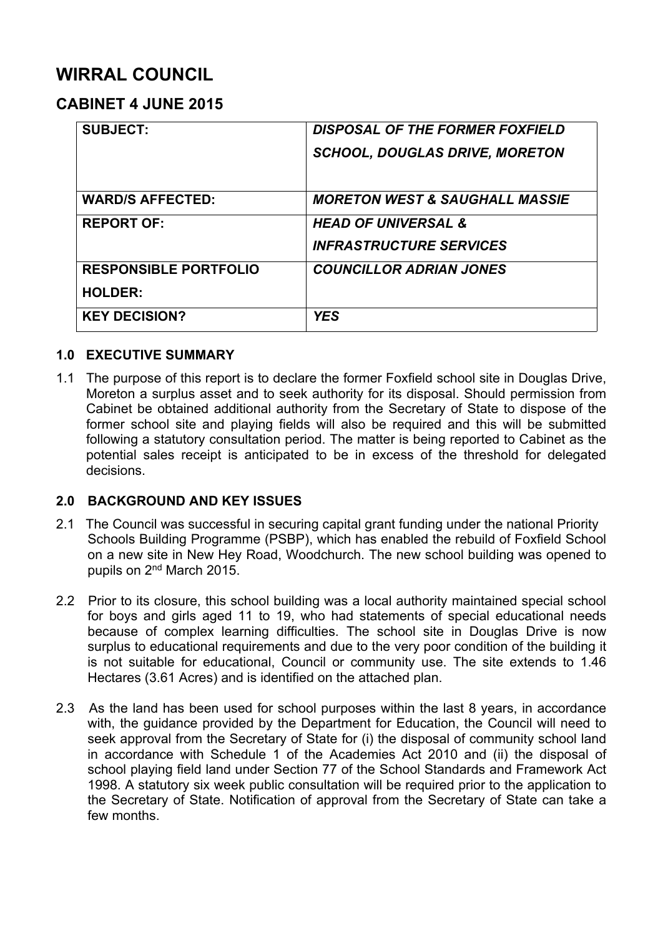# **WIRRAL COUNCIL**

# **CABINET 4 JUNE 2015**

| <b>SUBJECT:</b>              | <b>DISPOSAL OF THE FORMER FOXFIELD</b>    |
|------------------------------|-------------------------------------------|
|                              | <b>SCHOOL, DOUGLAS DRIVE, MORETON</b>     |
|                              |                                           |
| <b>WARD/S AFFECTED:</b>      | <b>MORETON WEST &amp; SAUGHALL MASSIE</b> |
| <b>REPORT OF:</b>            | <b>HEAD OF UNIVERSAL &amp;</b>            |
|                              | <b>INFRASTRUCTURE SERVICES</b>            |
| <b>RESPONSIBLE PORTFOLIO</b> | <b>COUNCILLOR ADRIAN JONES</b>            |
| <b>HOLDER:</b>               |                                           |
| <b>KEY DECISION?</b>         | <b>YES</b>                                |

# **1.0 EXECUTIVE SUMMARY**

1.1 The purpose of this report is to declare the former Foxfield school site in Douglas Drive, Moreton a surplus asset and to seek authority for its disposal. Should permission from Cabinet be obtained additional authority from the Secretary of State to dispose of the former school site and playing fields will also be required and this will be submitted following a statutory consultation period. The matter is being reported to Cabinet as the potential sales receipt is anticipated to be in excess of the threshold for delegated decisions.

#### **2.0 BACKGROUND AND KEY ISSUES**

- 2.1 The Council was successful in securing capital grant funding under the national Priority Schools Building Programme (PSBP), which has enabled the rebuild of Foxfield School on a new site in New Hey Road, Woodchurch. The new school building was opened to pupils on 2<sup>nd</sup> March 2015.
- 2.2 Prior to its closure, this school building was a local authority maintained special school for boys and girls aged 11 to 19, who had statements of special educational needs because of complex learning difficulties. The school site in Douglas Drive is now surplus to educational requirements and due to the very poor condition of the building it is not suitable for educational, Council or community use. The site extends to 1.46 Hectares (3.61 Acres) and is identified on the attached plan.
- 2.3 As the land has been used for school purposes within the last 8 years, in accordance with, the guidance provided by the Department for Education, the Council will need to seek approval from the Secretary of State for (i) the disposal of community school land in accordance with Schedule 1 of the Academies Act 2010 and (ii) the disposal of school playing field land under Section 77 of the School Standards and Framework Act 1998. A statutory six week public consultation will be required prior to the application to the Secretary of State. Notification of approval from the Secretary of State can take a few months.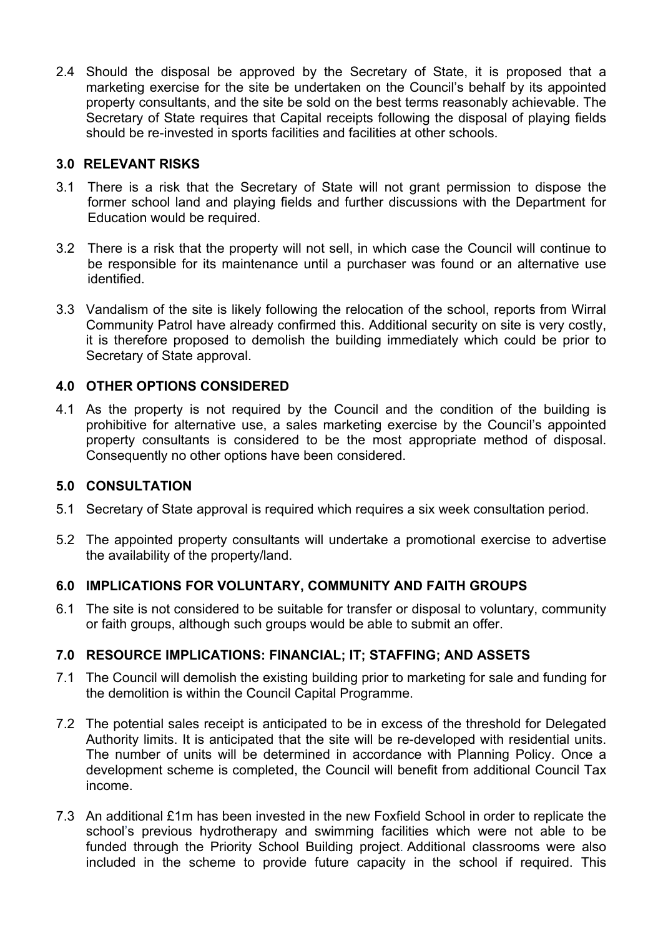2.4 Should the disposal be approved by the Secretary of State, it is proposed that a marketing exercise for the site be undertaken on the Council's behalf by its appointed property consultants, and the site be sold on the best terms reasonably achievable. The Secretary of State requires that Capital receipts following the disposal of playing fields should be re-invested in sports facilities and facilities at other schools.

#### **3.0 RELEVANT RISKS**

- 3.1 There is a risk that the Secretary of State will not grant permission to dispose the former school land and playing fields and further discussions with the Department for Education would be required.
- 3.2 There is a risk that the property will not sell, in which case the Council will continue to be responsible for its maintenance until a purchaser was found or an alternative use identified.
- 3.3 Vandalism of the site is likely following the relocation of the school, reports from Wirral Community Patrol have already confirmed this. Additional security on site is very costly, it is therefore proposed to demolish the building immediately which could be prior to Secretary of State approval.

# **4.0 OTHER OPTIONS CONSIDERED**

4.1 As the property is not required by the Council and the condition of the building is prohibitive for alternative use, a sales marketing exercise by the Council's appointed property consultants is considered to be the most appropriate method of disposal. Consequently no other options have been considered.

#### **5.0 CONSULTATION**

- 5.1 Secretary of State approval is required which requires a six week consultation period.
- 5.2 The appointed property consultants will undertake a promotional exercise to advertise the availability of the property/land.

# **6.0 IMPLICATIONS FOR VOLUNTARY, COMMUNITY AND FAITH GROUPS**

6.1 The site is not considered to be suitable for transfer or disposal to voluntary, community or faith groups, although such groups would be able to submit an offer.

# **7.0 RESOURCE IMPLICATIONS: FINANCIAL; IT; STAFFING; AND ASSETS**

- 7.1 The Council will demolish the existing building prior to marketing for sale and funding for the demolition is within the Council Capital Programme.
- 7.2 The potential sales receipt is anticipated to be in excess of the threshold for Delegated Authority limits. It is anticipated that the site will be re-developed with residential units. The number of units will be determined in accordance with Planning Policy. Once a development scheme is completed, the Council will benefit from additional Council Tax income.
- 7.3 An additional £1m has been invested in the new Foxfield School in order to replicate the school's previous hydrotherapy and swimming facilities which were not able to be funded through the Priority School Building project. Additional classrooms were also included in the scheme to provide future capacity in the school if required. This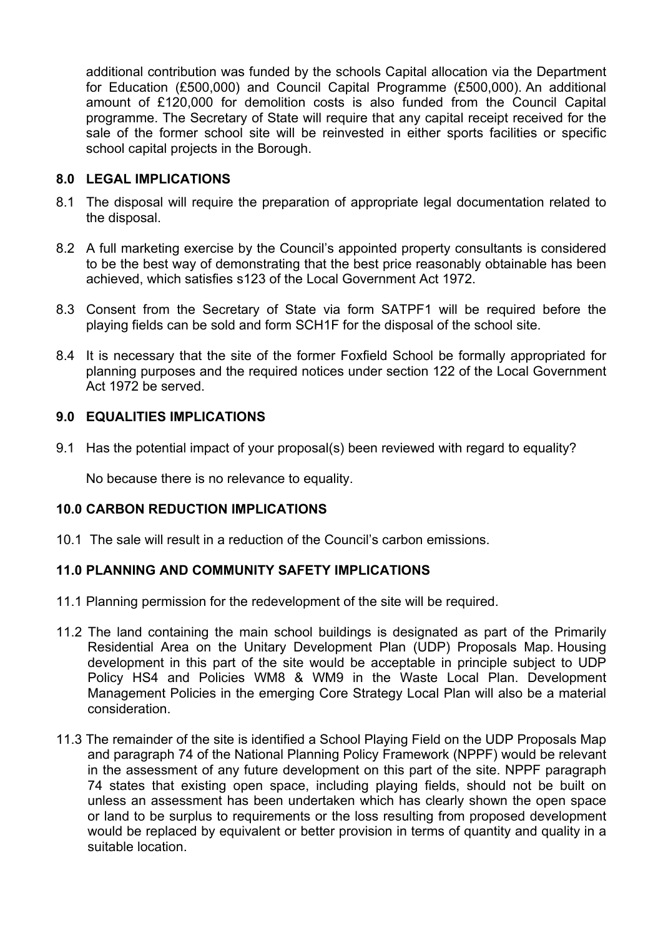additional contribution was funded by the schools Capital allocation via the Department for Education (£500,000) and Council Capital Programme (£500,000). An additional amount of £120,000 for demolition costs is also funded from the Council Capital programme. The Secretary of State will require that any capital receipt received for the sale of the former school site will be reinvested in either sports facilities or specific school capital projects in the Borough.

#### **8.0 LEGAL IMPLICATIONS**

- 8.1 The disposal will require the preparation of appropriate legal documentation related to the disposal.
- 8.2 A full marketing exercise by the Council's appointed property consultants is considered to be the best way of demonstrating that the best price reasonably obtainable has been achieved, which satisfies s123 of the Local Government Act 1972.
- 8.3 Consent from the Secretary of State via form SATPF1 will be required before the playing fields can be sold and form SCH1F for the disposal of the school site.
- 8.4 It is necessary that the site of the former Foxfield School be formally appropriated for planning purposes and the required notices under section 122 of the Local Government Act 1972 be served.

#### **9.0 EQUALITIES IMPLICATIONS**

9.1 Has the potential impact of your proposal(s) been reviewed with regard to equality?

No because there is no relevance to equality.

#### **10.0 CARBON REDUCTION IMPLICATIONS**

10.1 The sale will result in a reduction of the Council's carbon emissions.

# **11.0 PLANNING AND COMMUNITY SAFETY IMPLICATIONS**

- 11.1 Planning permission for the redevelopment of the site will be required.
- 11.2 The land containing the main school buildings is designated as part of the Primarily Residential Area on the Unitary Development Plan (UDP) Proposals Map. Housing development in this part of the site would be acceptable in principle subject to UDP Policy HS4 and Policies WM8 & WM9 in the Waste Local Plan. Development Management Policies in the emerging Core Strategy Local Plan will also be a material consideration.
- 11.3 The remainder of the site is identified a School Playing Field on the UDP Proposals Map and paragraph 74 of the National Planning Policy Framework (NPPF) would be relevant in the assessment of any future development on this part of the site. NPPF paragraph 74 states that existing open space, including playing fields, should not be built on unless an assessment has been undertaken which has clearly shown the open space or land to be surplus to requirements or the loss resulting from proposed development would be replaced by equivalent or better provision in terms of quantity and quality in a suitable location.